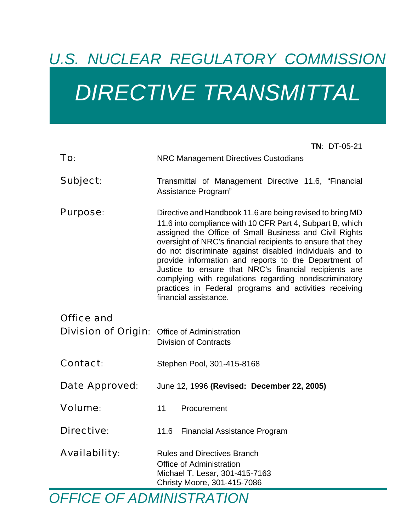# *U.S. NUCLEAR REGULATORY COMMISSION DIRECTIVE TRANSMITTAL*

|                            | $TN: DT-05-21$                                                                                                                                                                                                                                                                                                                                                                                                                                                                                                                                                           |
|----------------------------|--------------------------------------------------------------------------------------------------------------------------------------------------------------------------------------------------------------------------------------------------------------------------------------------------------------------------------------------------------------------------------------------------------------------------------------------------------------------------------------------------------------------------------------------------------------------------|
| To:                        | <b>NRC Management Directives Custodians</b>                                                                                                                                                                                                                                                                                                                                                                                                                                                                                                                              |
| Subject:                   | Transmittal of Management Directive 11.6, "Financial<br>Assistance Program"                                                                                                                                                                                                                                                                                                                                                                                                                                                                                              |
| <b>Purpose:</b>            | Directive and Handbook 11.6 are being revised to bring MD<br>11.6 into compliance with 10 CFR Part 4, Subpart B, which<br>assigned the Office of Small Business and Civil Rights<br>oversight of NRC's financial recipients to ensure that they<br>do not discriminate against disabled individuals and to<br>provide information and reports to the Department of<br>Justice to ensure that NRC's financial recipients are<br>complying with regulations regarding nondiscriminatory<br>practices in Federal programs and activities receiving<br>financial assistance. |
| <b>Office and</b>          |                                                                                                                                                                                                                                                                                                                                                                                                                                                                                                                                                                          |
| <b>Division of Origin:</b> | <b>Office of Administration</b><br><b>Division of Contracts</b>                                                                                                                                                                                                                                                                                                                                                                                                                                                                                                          |
| <b>Contact:</b>            | Stephen Pool, 301-415-8168                                                                                                                                                                                                                                                                                                                                                                                                                                                                                                                                               |
| Date Approved:             | June 12, 1996 (Revised: December 22, 2005)                                                                                                                                                                                                                                                                                                                                                                                                                                                                                                                               |
| <b>Volume:</b>             | 11<br>Procurement                                                                                                                                                                                                                                                                                                                                                                                                                                                                                                                                                        |
| <b>Directive:</b>          | 11.6 Financial Assistance Program                                                                                                                                                                                                                                                                                                                                                                                                                                                                                                                                        |
| <b>Availability:</b>       | <b>Rules and Directives Branch</b><br><b>Office of Administration</b><br>Michael T. Lesar, 301-415-7163<br>Christy Moore, 301-415-7086                                                                                                                                                                                                                                                                                                                                                                                                                                   |

*OFFICE OF ADMINISTRATION*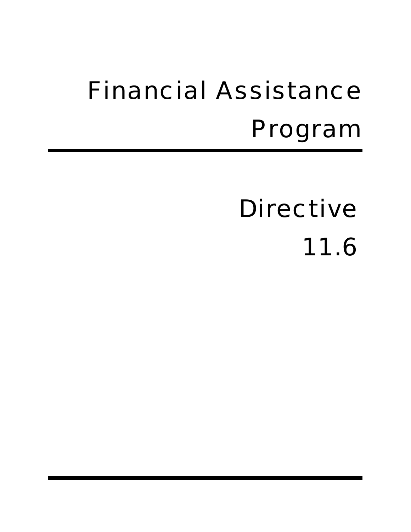# Financial Assistance Program

Directive 11.6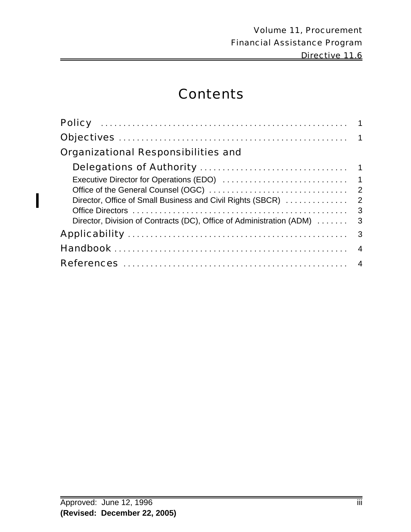# **Contents**

| <b>Organizational Responsibilities and</b>                           |   |
|----------------------------------------------------------------------|---|
|                                                                      |   |
|                                                                      |   |
|                                                                      |   |
|                                                                      |   |
| $\overline{\mathbf{3}}$                                              |   |
| Director, Division of Contracts (DC), Office of Administration (ADM) | 3 |
|                                                                      |   |
|                                                                      |   |
|                                                                      |   |

 $\overline{\phantom{a}}$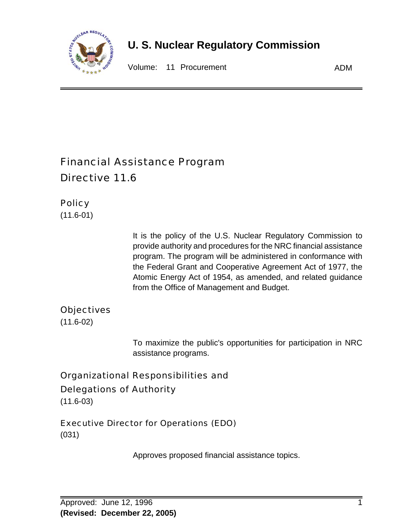

# **U. S. Nuclear Regulatory Commission**

Volume: 11 Procurement **ADM** 

# Financial Assistance Program Directive 11.6

### **Policy**

(11.6-01)

It is the policy of the U.S. Nuclear Regulatory Commission to provide authority and procedures for the NRC financial assistance program. The program will be administered in conformance with the Federal Grant and Cooperative Agreement Act of 1977, the Atomic Energy Act of 1954, as amended, and related guidance from the Office of Management and Budget.

#### **Objectives**

(11.6-02)

To maximize the public's opportunities for participation in NRC assistance programs.

# Organizational Responsibilities and Delegations of Authority

(11.6-03)

#### Executive Director for Operations (EDO)

(031)

Approves proposed financial assistance topics.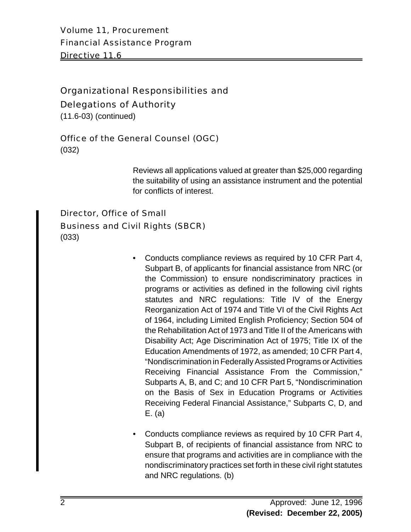Volume 11, Procurement Financial Assistance Program Directive 11.6

## Organizational Responsibilities and

Delegations of Authority

(11.6-03) (continued)

#### Office of the General Counsel (OGC)

(032)

Reviews all applications valued at greater than \$25,000 regarding the suitability of using an assistance instrument and the potential for conflicts of interest.

# Director, Office of Small Business and Civil Rights (SBCR)

(033)

- Conducts compliance reviews as required by 10 CFR Part 4, Subpart B, of applicants for financial assistance from NRC (or the Commission) to ensure nondiscriminatory practices in programs or activities as defined in the following civil rights statutes and NRC regulations: Title IV of the Energy Reorganization Act of 1974 and Title VI of the Civil Rights Act of 1964, including Limited English Proficiency; Section 504 of the Rehabilitation Act of 1973 and Title II of the Americans with Disability Act; Age Discrimination Act of 1975; Title IX of the Education Amendments of 1972, as amended; 10 CFR Part 4, "Nondiscrimination in Federally Assisted Programs or Activities Receiving Financial Assistance From the Commission," Subparts A, B, and C; and 10 CFR Part 5, "Nondiscrimination on the Basis of Sex in Education Programs or Activities Receiving Federal Financial Assistance," Subparts C, D, and E. (a)
- Conducts compliance reviews as required by 10 CFR Part 4, Subpart B, of recipients of financial assistance from NRC to ensure that programs and activities are in compliance with the nondiscriminatory practices set forth in these civil right statutes and NRC regulations. (b)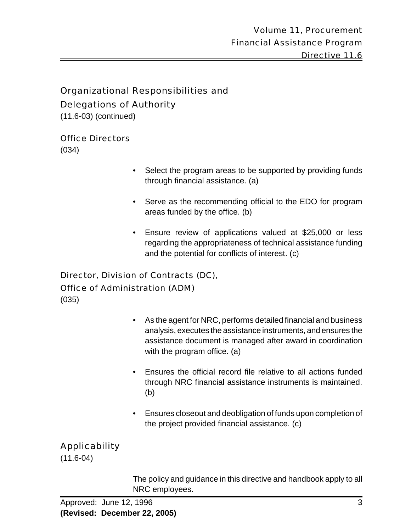### Organizational Responsibilities and Delegations of Authority

(11.6-03) (continued)

#### Office Directors

(034)

- Select the program areas to be supported by providing funds through financial assistance. (a)
- Serve as the recommending official to the EDO for program areas funded by the office. (b)
- Ensure review of applications valued at \$25,000 or less regarding the appropriateness of technical assistance funding and the potential for conflicts of interest. (c)

#### Director, Division of Contracts (DC), Office of Administration (ADM)

(035)

- As the agent for NRC, performs detailed financial and business analysis, executes the assistance instruments, and ensures the assistance document is managed after award in coordination with the program office. (a)
- Ensures the official record file relative to all actions funded through NRC financial assistance instruments is maintained. (b)
- Ensures closeout and deobligation of funds upon completion of the project provided financial assistance. (c)

# Applicability

(11.6-04)

The policy and guidance in this directive and handbook apply to all NRC employees.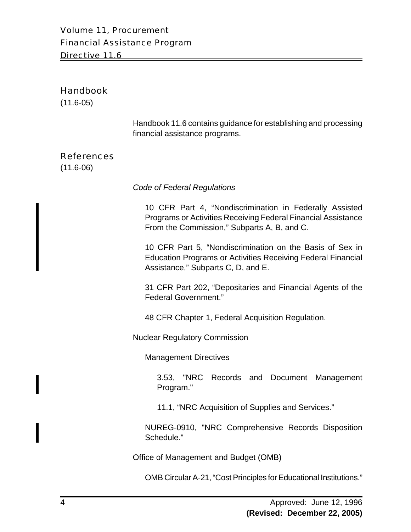#### Volume 11, Procurement Financial Assistance Program Directive 11.6

#### Handbook

(11.6-05)

Handbook 11.6 contains guidance for establishing and processing financial assistance programs.

#### References

(11.6-06)

*Code of Federal Regulations*

10 CFR Part 4, "Nondiscrimination in Federally Assisted Programs or Activities Receiving Federal Financial Assistance From the Commission," Subparts A, B, and C.

10 CFR Part 5, "Nondiscrimination on the Basis of Sex in Education Programs or Activities Receiving Federal Financial Assistance," Subparts C, D, and E.

31 CFR Part 202, "Depositaries and Financial Agents of the Federal Government."

48 CFR Chapter 1, Federal Acquisition Regulation.

Nuclear Regulatory Commission

Management Directives

3.53, "NRC Records and Document Management Program."

11.1, "NRC Acquisition of Supplies and Services."

NUREG-0910, "NRC Comprehensive Records Disposition Schedule."

Office of Management and Budget (OMB)

OMB Circular A-21, "Cost Principles for Educational Institutions."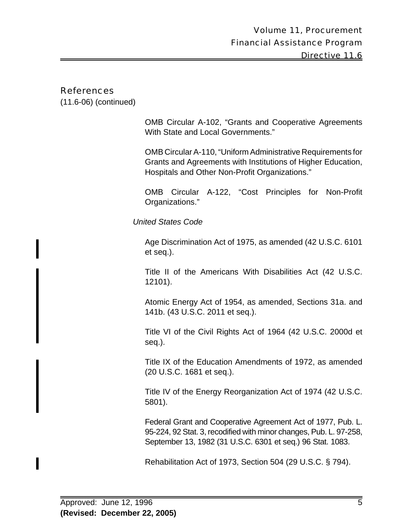#### References

(11.6-06) (continued)

OMB Circular A-102, "Grants and Cooperative Agreements With State and Local Governments."

OMB Circular A-110, "Uniform Administrative Requirements for Grants and Agreements with Institutions of Higher Education, Hospitals and Other Non-Profit Organizations."

OMB Circular A-122, "Cost Principles for Non-Profit Organizations."

*United States Code*

Age Discrimination Act of 1975, as amended (42 U.S.C. 6101 et seq.).

Title II of the Americans With Disabilities Act (42 U.S.C. 12101).

Atomic Energy Act of 1954, as amended, Sections 31a. and 141b. (43 U.S.C. 2011 et seq.).

Title VI of the Civil Rights Act of 1964 (42 U.S.C. 2000d et seq.).

Title IX of the Education Amendments of 1972, as amended (20 U.S.C. 1681 et seq.).

Title IV of the Energy Reorganization Act of 1974 (42 U.S.C. 5801).

Federal Grant and Cooperative Agreement Act of 1977, Pub. L. 95-224, 92 Stat. 3, recodified with minor changes, Pub. L. 97-258, September 13, 1982 (31 U.S.C. 6301 et seq.) 96 Stat. 1083.

Rehabilitation Act of 1973, Section 504 (29 U.S.C. § 794).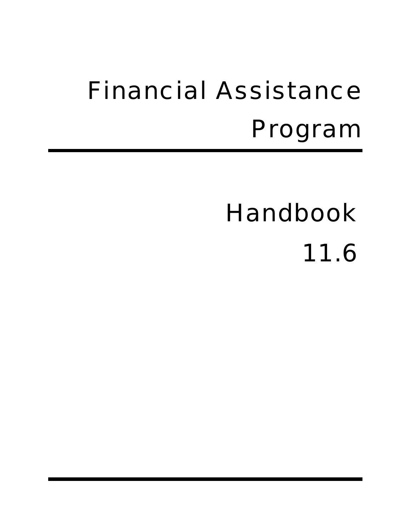# Financial Assistance Program

# Handbook

11.6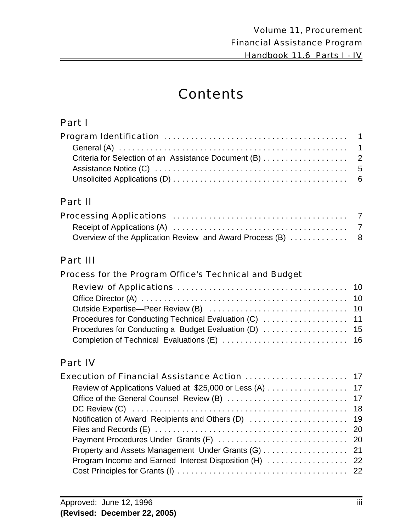# **Contents**

## Part I

| Criteria for Selection of an Assistance Document (B) 2 |  |
|--------------------------------------------------------|--|
|                                                        |  |
|                                                        |  |

## Part II

## Part III

#### Process for the Program Office's Technical and Budget

# Part IV

| Execution of Financial Assistance Action  17           |  |
|--------------------------------------------------------|--|
|                                                        |  |
|                                                        |  |
|                                                        |  |
|                                                        |  |
|                                                        |  |
|                                                        |  |
|                                                        |  |
| Program Income and Earned Interest Disposition (H)  22 |  |
|                                                        |  |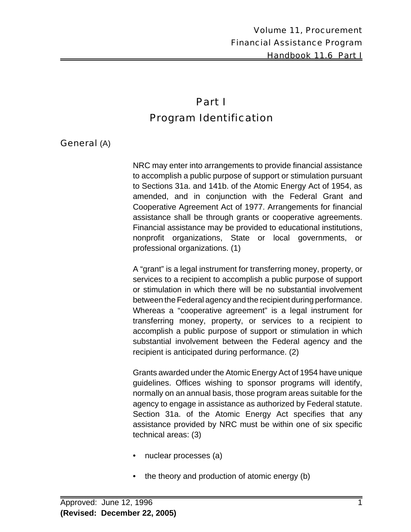# Part I Program Identification

#### General (A)

NRC may enter into arrangements to provide financial assistance to accomplish a public purpose of support or stimulation pursuant to Sections 31a. and 141b. of the Atomic Energy Act of 1954, as amended, and in conjunction with the Federal Grant and Cooperative Agreement Act of 1977. Arrangements for financial assistance shall be through grants or cooperative agreements. Financial assistance may be provided to educational institutions, nonprofit organizations, State or local governments, or professional organizations. (1)

A "grant" is a legal instrument for transferring money, property, or services to a recipient to accomplish a public purpose of support or stimulation in which there will be no substantial involvement between the Federal agency and the recipient during performance. Whereas a "cooperative agreement" is a legal instrument for transferring money, property, or services to a recipient to accomplish a public purpose of support or stimulation in which substantial involvement between the Federal agency and the recipient is anticipated during performance. (2)

Grants awarded under the Atomic Energy Act of 1954 have unique guidelines. Offices wishing to sponsor programs will identify, normally on an annual basis, those program areas suitable for the agency to engage in assistance as authorized by Federal statute. Section 31a. of the Atomic Energy Act specifies that any assistance provided by NRC must be within one of six specific technical areas: (3)

- nuclear processes (a)
- the theory and production of atomic energy (b)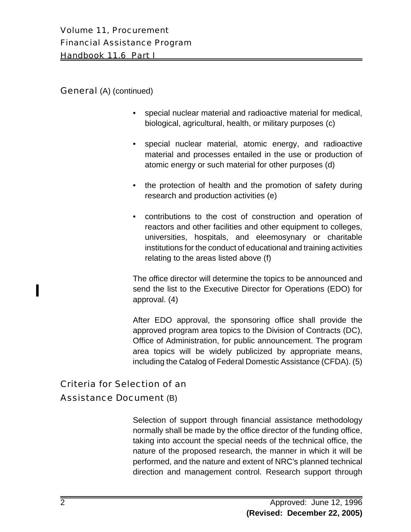#### General (A) (continued)

- special nuclear material and radioactive material for medical, biological, agricultural, health, or military purposes (c)
- special nuclear material, atomic energy, and radioactive material and processes entailed in the use or production of atomic energy or such material for other purposes (d)
- the protection of health and the promotion of safety during research and production activities (e)
- contributions to the cost of construction and operation of reactors and other facilities and other equipment to colleges, universities, hospitals, and eleemosynary or charitable institutions for the conduct of educational and training activities relating to the areas listed above (f)

The office director will determine the topics to be announced and send the list to the Executive Director for Operations (EDO) for approval. (4)

After EDO approval, the sponsoring office shall provide the approved program area topics to the Division of Contracts (DC), Office of Administration, for public announcement. The program area topics will be widely publicized by appropriate means, including the Catalog of Federal Domestic Assistance (CFDA). (5)

# Criteria for Selection of an

#### Assistance Document (B)

Selection of support through financial assistance methodology normally shall be made by the office director of the funding office, taking into account the special needs of the technical office, the nature of the proposed research, the manner in which it will be performed, and the nature and extent of NRC's planned technical direction and management control. Research support through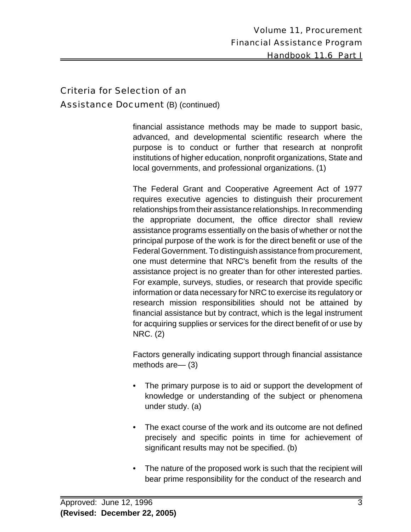### Criteria for Selection of an Assistance Document (B) (continued)

financial assistance methods may be made to support basic, advanced, and developmental scientific research where the purpose is to conduct or further that research at nonprofit institutions of higher education, nonprofit organizations, State and local governments, and professional organizations. (1)

The Federal Grant and Cooperative Agreement Act of 1977 requires executive agencies to distinguish their procurement relationships from their assistance relationships. In recommending the appropriate document, the office director shall review assistance programs essentially on the basis of whether or not the principal purpose of the work is for the direct benefit or use of the Federal Government. To distinguish assistance from procurement, one must determine that NRC's benefit from the results of the assistance project is no greater than for other interested parties. For example, surveys, studies, or research that provide specific information or data necessary for NRC to exercise its regulatory or research mission responsibilities should not be attained by financial assistance but by contract, which is the legal instrument for acquiring supplies or services for the direct benefit of or use by NRC. (2)

Factors generally indicating support through financial assistance methods are— (3)

- The primary purpose is to aid or support the development of knowledge or understanding of the subject or phenomena under study. (a)
- The exact course of the work and its outcome are not defined precisely and specific points in time for achievement of significant results may not be specified. (b)
- The nature of the proposed work is such that the recipient will bear prime responsibility for the conduct of the research and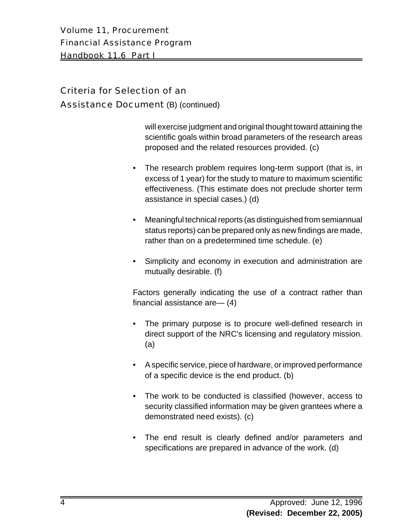Volume 11, Procurement Financial Assistance Program Handbook 11.6 Part I

#### Criteria for Selection of an Assistance Document (B) (continued)

will exercise judgment and original thought toward attaining the scientific goals within broad parameters of the research areas proposed and the related resources provided. (c)

- The research problem requires long-term support (that is, in excess of 1 year) for the study to mature to maximum scientific effectiveness. (This estimate does not preclude shorter term assistance in special cases.) (d)
- Meaningful technical reports (as distinguished from semiannual status reports) can be prepared only as new findings are made, rather than on a predetermined time schedule. (e)
- Simplicity and economy in execution and administration are mutually desirable. (f)

Factors generally indicating the use of a contract rather than financial assistance are— (4)

- The primary purpose is to procure well-defined research in direct support of the NRC's licensing and regulatory mission. (a)
- A specific service, piece of hardware, or improved performance of a specific device is the end product. (b)
- The work to be conducted is classified (however, access to security classified information may be given grantees where a demonstrated need exists). (c)
- The end result is clearly defined and/or parameters and specifications are prepared in advance of the work. (d)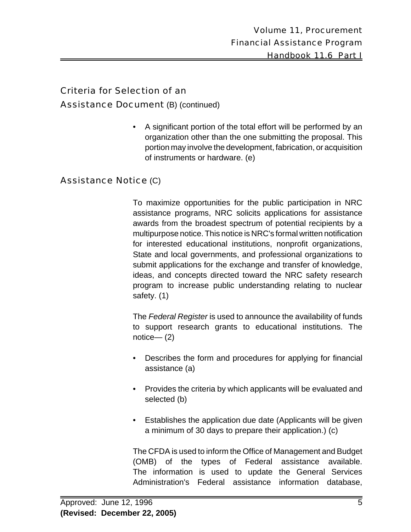#### Criteria for Selection of an

#### Assistance Document (B) (continued)

• A significant portion of the total effort will be performed by an organization other than the one submitting the proposal. This portion may involve the development, fabrication, or acquisition of instruments or hardware. (e)

#### Assistance Notice (C)

To maximize opportunities for the public participation in NRC assistance programs, NRC solicits applications for assistance awards from the broadest spectrum of potential recipients by a multipurpose notice. This notice is NRC's formal written notification for interested educational institutions, nonprofit organizations, State and local governments, and professional organizations to submit applications for the exchange and transfer of knowledge, ideas, and concepts directed toward the NRC safety research program to increase public understanding relating to nuclear safety. (1)

The *Federal Register* is used to announce the availability of funds to support research grants to educational institutions. The notice— (2)

- Describes the form and procedures for applying for financial assistance (a)
- Provides the criteria by which applicants will be evaluated and selected (b)
- Establishes the application due date (Applicants will be given a minimum of 30 days to prepare their application.) (c)

The CFDA is used to inform the Office of Management and Budget (OMB) of the types of Federal assistance available. The information is used to update the General Services Administration's Federal assistance information database,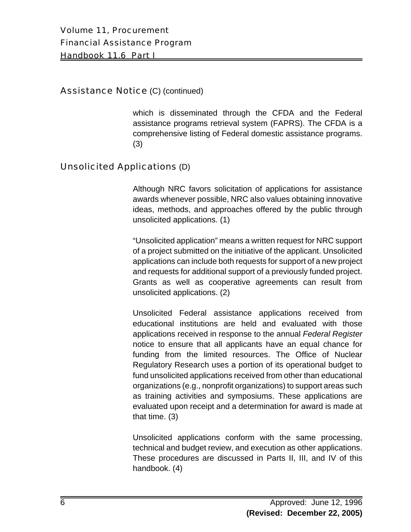#### **Assistance Notice (C) (continued)**

which is disseminated through the CFDA and the Federal assistance programs retrieval system (FAPRS). The CFDA is a comprehensive listing of Federal domestic assistance programs. (3)

#### Unsolicited Applications (D)

Although NRC favors solicitation of applications for assistance awards whenever possible, NRC also values obtaining innovative ideas, methods, and approaches offered by the public through unsolicited applications. (1)

"Unsolicited application" means a written request for NRC support of a project submitted on the initiative of the applicant. Unsolicited applications can include both requests for support of a new project and requests for additional support of a previously funded project. Grants as well as cooperative agreements can result from unsolicited applications. (2)

Unsolicited Federal assistance applications received from educational institutions are held and evaluated with those applications received in response to the annual *Federal Register* notice to ensure that all applicants have an equal chance for funding from the limited resources. The Office of Nuclear Regulatory Research uses a portion of its operational budget to fund unsolicited applications received from other than educational organizations (e.g., nonprofit organizations) to support areas such as training activities and symposiums. These applications are evaluated upon receipt and a determination for award is made at that time. (3)

Unsolicited applications conform with the same processing, technical and budget review, and execution as other applications. These procedures are discussed in Parts II, III, and IV of this handbook. (4)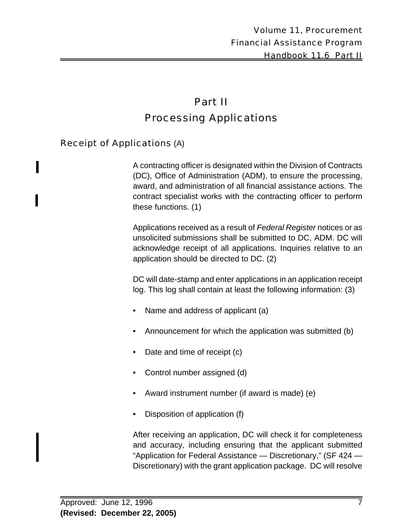# Part II Processing Applications

#### Receipt of Applications (A)

A contracting officer is designated within the Division of Contracts (DC), Office of Administration (ADM), to ensure the processing, award, and administration of all financial assistance actions. The contract specialist works with the contracting officer to perform these functions. (1)

Applications received as a result of *Federal Register* notices or as unsolicited submissions shall be submitted to DC, ADM. DC will acknowledge receipt of all applications. Inquiries relative to an application should be directed to DC. (2)

DC will date-stamp and enter applications in an application receipt log. This log shall contain at least the following information: (3)

- Name and address of applicant (a)
- Announcement for which the application was submitted (b)
- Date and time of receipt (c)
- Control number assigned (d)
- Award instrument number (if award is made) (e)
- Disposition of application (f)

After receiving an application, DC will check it for completeness and accuracy, including ensuring that the applicant submitted "Application for Federal Assistance — Discretionary," (SF 424 — Discretionary) with the grant application package. DC will resolve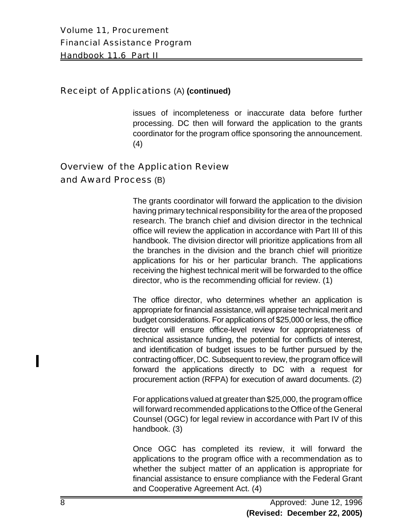#### Receipt of Applications (A) **(continued)**

issues of incompleteness or inaccurate data before further processing. DC then will forward the application to the grants coordinator for the program office sponsoring the announcement. (4)

### Overview of the Application Review and Award Process (B)

The grants coordinator will forward the application to the division having primary technical responsibility for the area of the proposed research. The branch chief and division director in the technical office will review the application in accordance with Part III of this handbook. The division director will prioritize applications from all the branches in the division and the branch chief will prioritize applications for his or her particular branch. The applications receiving the highest technical merit will be forwarded to the office director, who is the recommending official for review. (1)

The office director, who determines whether an application is appropriate for financial assistance, will appraise technical merit and budget considerations. For applications of \$25,000 or less, the office director will ensure office-level review for appropriateness of technical assistance funding, the potential for conflicts of interest, and identification of budget issues to be further pursued by the contracting officer, DC. Subsequent to review, the program office will forward the applications directly to DC with a request for procurement action (RFPA) for execution of award documents. (2)

For applications valued at greater than \$25,000, the program office will forward recommended applications to the Office of the General Counsel (OGC) for legal review in accordance with Part IV of this handbook. (3)

Once OGC has completed its review, it will forward the applications to the program office with a recommendation as to whether the subject matter of an application is appropriate for financial assistance to ensure compliance with the Federal Grant and Cooperative Agreement Act. (4)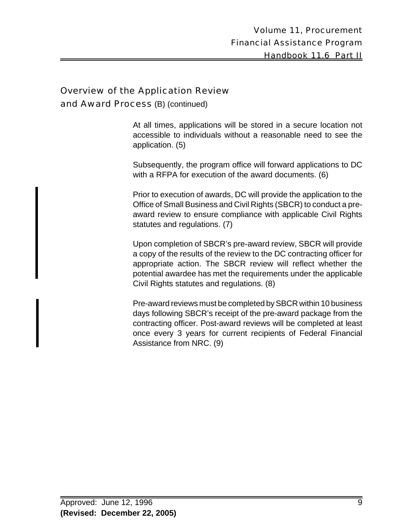#### Overview of the Application Review

and Award Process (B) (continued)

At all times, applications will be stored in a secure location not accessible to individuals without a reasonable need to see the application. (5)

Subsequently, the program office will forward applications to DC with a RFPA for execution of the award documents. (6)

Prior to execution of awards, DC will provide the application to the Office of Small Business and Civil Rights (SBCR) to conduct a preaward review to ensure compliance with applicable Civil Rights statutes and regulations. (7)

Upon completion of SBCR's pre-award review, SBCR will provide a copy of the results of the review to the DC contracting officer for appropriate action. The SBCR review will reflect whether the potential awardee has met the requirements under the applicable Civil Rights statutes and regulations. (8)

Pre-award reviews must be completed by SBCR within 10 business days following SBCR's receipt of the pre-award package from the contracting officer. Post-award reviews will be completed at least once every 3 years for current recipients of Federal Financial Assistance from NRC. (9)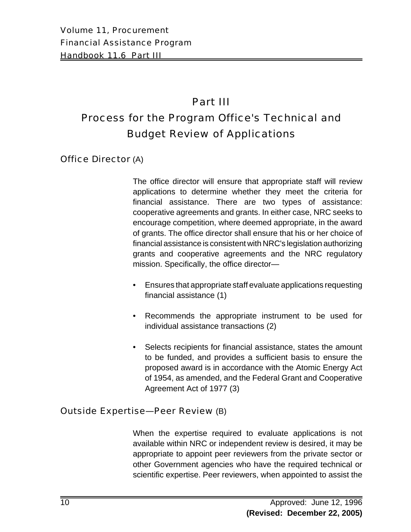# Part III

# Process for the Program Office's Technical and Budget Review of Applications

Office Director (A)

The office director will ensure that appropriate staff will review applications to determine whether they meet the criteria for financial assistance. There are two types of assistance: cooperative agreements and grants. In either case, NRC seeks to encourage competition, where deemed appropriate, in the award of grants. The office director shall ensure that his or her choice of financial assistance is consistent with NRC's legislation authorizing grants and cooperative agreements and the NRC regulatory mission. Specifically, the office director—

- Ensures that appropriate staff evaluate applications requesting financial assistance (1)
- Recommends the appropriate instrument to be used for individual assistance transactions (2)
- Selects recipients for financial assistance, states the amount to be funded, and provides a sufficient basis to ensure the proposed award is in accordance with the Atomic Energy Act of 1954, as amended, and the Federal Grant and Cooperative Agreement Act of 1977 (3)

#### Outside Expertise—Peer Review (B)

When the expertise required to evaluate applications is not available within NRC or independent review is desired, it may be appropriate to appoint peer reviewers from the private sector or other Government agencies who have the required technical or scientific expertise. Peer reviewers, when appointed to assist the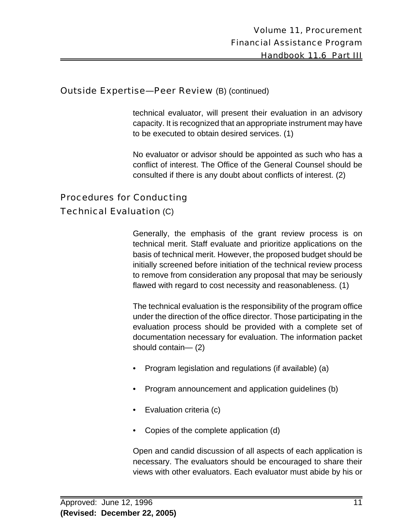#### Outside Expertise—Peer Review (B) (continued)

technical evaluator, will present their evaluation in an advisory capacity. It is recognized that an appropriate instrument may have to be executed to obtain desired services. (1)

No evaluator or advisor should be appointed as such who has a conflict of interest. The Office of the General Counsel should be consulted if there is any doubt about conflicts of interest. (2)

## Procedures for Conducting

#### Technical Evaluation (C)

Generally, the emphasis of the grant review process is on technical merit. Staff evaluate and prioritize applications on the basis of technical merit. However, the proposed budget should be initially screened before initiation of the technical review process to remove from consideration any proposal that may be seriously flawed with regard to cost necessity and reasonableness. (1)

The technical evaluation is the responsibility of the program office under the direction of the office director. Those participating in the evaluation process should be provided with a complete set of documentation necessary for evaluation. The information packet should contain— (2)

- Program legislation and regulations (if available) (a)
- Program announcement and application guidelines (b)
- Evaluation criteria (c)
- Copies of the complete application (d)

Open and candid discussion of all aspects of each application is necessary. The evaluators should be encouraged to share their views with other evaluators. Each evaluator must abide by his or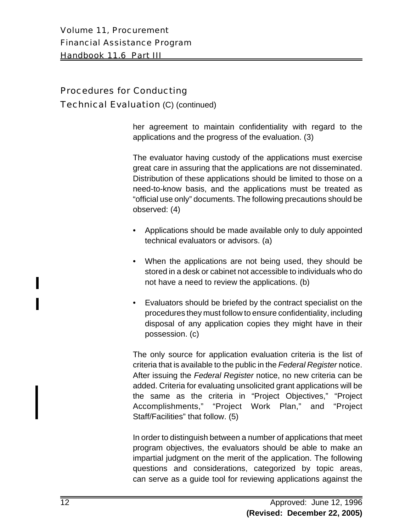Volume 11, Procurement Financial Assistance Program Handbook 11.6 Part III

#### Procedures for Conducting

#### Technical Evaluation (C) (continued)

her agreement to maintain confidentiality with regard to the applications and the progress of the evaluation. (3)

The evaluator having custody of the applications must exercise great care in assuring that the applications are not disseminated. Distribution of these applications should be limited to those on a need-to-know basis, and the applications must be treated as "official use only" documents. The following precautions should be observed: (4)

- Applications should be made available only to duly appointed technical evaluators or advisors. (a)
- When the applications are not being used, they should be stored in a desk or cabinet not accessible to individuals who do not have a need to review the applications. (b)
- Evaluators should be briefed by the contract specialist on the procedures they must follow to ensure confidentiality, including disposal of any application copies they might have in their possession. (c)

The only source for application evaluation criteria is the list of criteria that is available to the public in the *Federal Register* notice. After issuing the *Federal Register* notice, no new criteria can be added. Criteria for evaluating unsolicited grant applications will be the same as the criteria in "Project Objectives," "Project Accomplishments," "Project Work Plan," and "Project Staff/Facilities" that follow. (5)

In order to distinguish between a number of applications that meet program objectives, the evaluators should be able to make an impartial judgment on the merit of the application. The following questions and considerations, categorized by topic areas, can serve as a guide tool for reviewing applications against the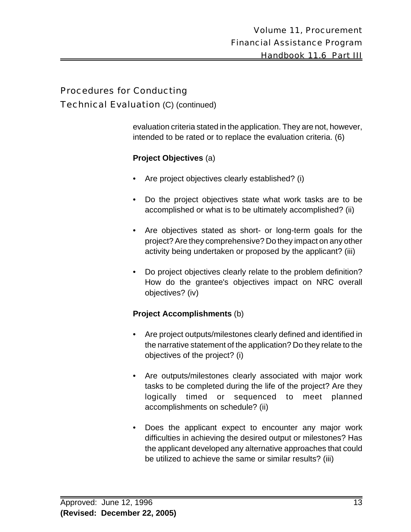#### Procedures for Conducting

#### Technical Evaluation (C) (continued)

evaluation criteria stated in the application. They are not, however, intended to be rated or to replace the evaluation criteria. (6)

#### **Project Objectives** (a)

- Are project objectives clearly established? (i)
- Do the project objectives state what work tasks are to be accomplished or what is to be ultimately accomplished? (ii)
- Are objectives stated as short- or long-term goals for the project? Are they comprehensive? Do they impact on any other activity being undertaken or proposed by the applicant? (iii)
- Do project objectives clearly relate to the problem definition? How do the grantee's objectives impact on NRC overall objectives? (iv)

#### **Project Accomplishments** (b)

- Are project outputs/milestones clearly defined and identified in the narrative statement of the application? Do they relate to the objectives of the project? (i)
- Are outputs/milestones clearly associated with major work tasks to be completed during the life of the project? Are they logically timed or sequenced to meet planned accomplishments on schedule? (ii)
- Does the applicant expect to encounter any major work difficulties in achieving the desired output or milestones? Has the applicant developed any alternative approaches that could be utilized to achieve the same or similar results? (iii)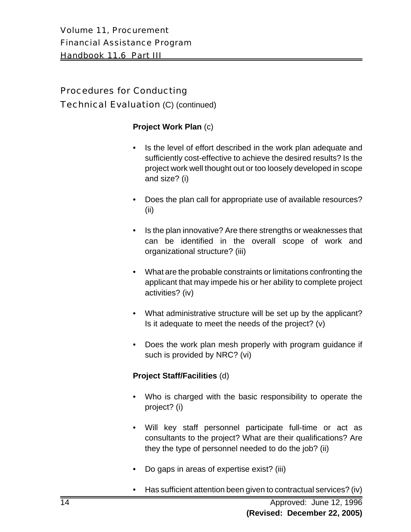Volume 11, Procurement Financial Assistance Program Handbook 11.6 Part III

## Procedures for Conducting Technical Evaluation (C) (continued)

#### **Project Work Plan** (c)

- Is the level of effort described in the work plan adequate and sufficiently cost-effective to achieve the desired results? Is the project work well thought out or too loosely developed in scope and size? (i)
- Does the plan call for appropriate use of available resources? (ii)
- Is the plan innovative? Are there strengths or weaknesses that can be identified in the overall scope of work and organizational structure? (iii)
- What are the probable constraints or limitations confronting the applicant that may impede his or her ability to complete project activities? (iv)
- What administrative structure will be set up by the applicant? Is it adequate to meet the needs of the project? (v)
- Does the work plan mesh properly with program guidance if such is provided by NRC? (vi)

#### **Project Staff/Facilities** (d)

- Who is charged with the basic responsibility to operate the project? (i)
- Will key staff personnel participate full-time or act as consultants to the project? What are their qualifications? Are they the type of personnel needed to do the job? (ii)
- Do gaps in areas of expertise exist? (iii)
- Has sufficient attention been given to contractual services? (iv)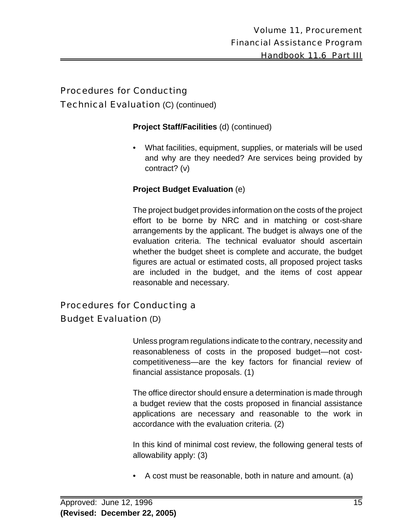#### Procedures for Conducting Technical Evaluation (C) (continued)

#### **Project Staff/Facilities** (d) (continued)

• What facilities, equipment, supplies, or materials will be used and why are they needed? Are services being provided by contract? (v)

#### **Project Budget Evaluation** (e)

The project budget provides information on the costs of the project effort to be borne by NRC and in matching or cost-share arrangements by the applicant. The budget is always one of the evaluation criteria. The technical evaluator should ascertain whether the budget sheet is complete and accurate, the budget figures are actual or estimated costs, all proposed project tasks are included in the budget, and the items of cost appear reasonable and necessary.

### Procedures for Conducting a Budget Evaluation (D)

Unless program regulations indicate to the contrary, necessity and reasonableness of costs in the proposed budget—not costcompetitiveness—are the key factors for financial review of financial assistance proposals. (1)

The office director should ensure a determination is made through a budget review that the costs proposed in financial assistance applications are necessary and reasonable to the work in accordance with the evaluation criteria. (2)

In this kind of minimal cost review, the following general tests of allowability apply: (3)

• A cost must be reasonable, both in nature and amount. (a)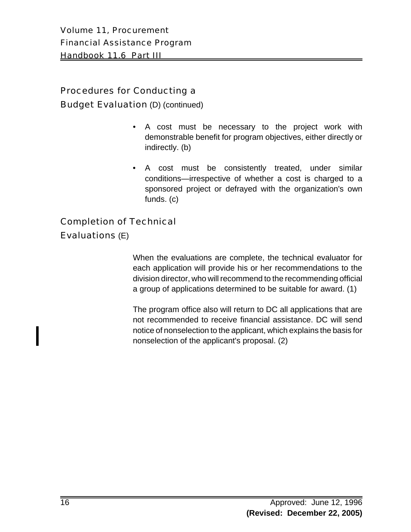#### Procedures for Conducting a

**Budget Evaluation** (D) (continued)

- A cost must be necessary to the project work with demonstrable benefit for program objectives, either directly or indirectly. (b)
- A cost must be consistently treated, under similar conditions—irrespective of whether a cost is charged to a sponsored project or defrayed with the organization's own funds. (c)

#### Completion of Technical

#### Evaluations (E)

When the evaluations are complete, the technical evaluator for each application will provide his or her recommendations to the division director, who will recommend to the recommending official a group of applications determined to be suitable for award. (1)

The program office also will return to DC all applications that are not recommended to receive financial assistance. DC will send notice of nonselection to the applicant, which explains the basis for nonselection of the applicant's proposal. (2)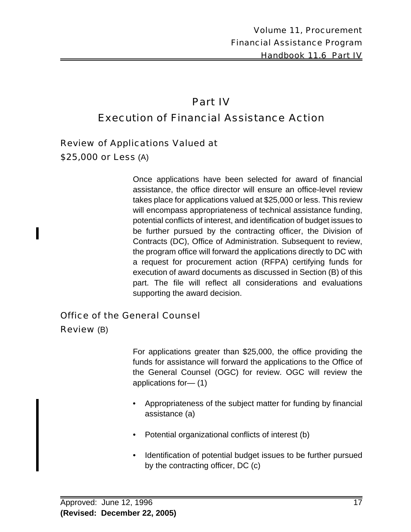# Part IV Execution of Financial Assistance Action

#### Review of Applications Valued at

\$25,000 or Less (A)

Once applications have been selected for award of financial assistance, the office director will ensure an office-level review takes place for applications valued at \$25,000 or less. This review will encompass appropriateness of technical assistance funding, potential conflicts of interest, and identification of budget issues to be further pursued by the contracting officer, the Division of Contracts (DC), Office of Administration. Subsequent to review, the program office will forward the applications directly to DC with a request for procurement action (RFPA) certifying funds for execution of award documents as discussed in Section (B) of this part. The file will reflect all considerations and evaluations supporting the award decision.

#### Office of the General Counsel

Review (B)

For applications greater than \$25,000, the office providing the funds for assistance will forward the applications to the Office of the General Counsel (OGC) for review. OGC will review the applications for— (1)

- Appropriateness of the subject matter for funding by financial assistance (a)
- Potential organizational conflicts of interest (b)
- Identification of potential budget issues to be further pursued by the contracting officer, DC (c)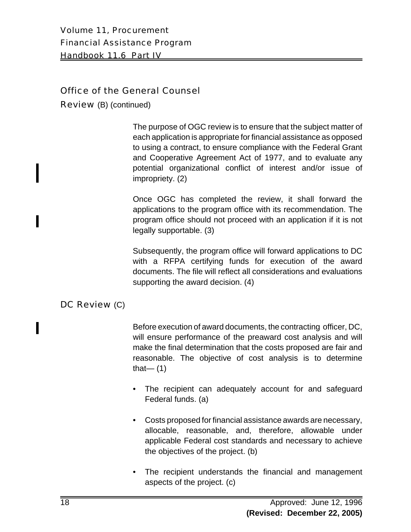Volume 11, Procurement Financial Assistance Program Handbook 11.6 Part IV

#### Office of the General Counsel

Review (B) (continued)

The purpose of OGC review is to ensure that the subject matter of each application is appropriate for financial assistance as opposed to using a contract, to ensure compliance with the Federal Grant and Cooperative Agreement Act of 1977, and to evaluate any potential organizational conflict of interest and/or issue of impropriety. (2)

Once OGC has completed the review, it shall forward the applications to the program office with its recommendation. The program office should not proceed with an application if it is not legally supportable. (3)

Subsequently, the program office will forward applications to DC with a RFPA certifying funds for execution of the award documents. The file will reflect all considerations and evaluations supporting the award decision. (4)

#### DC Review (C)

Before execution of award documents, the contracting officer, DC, will ensure performance of the preaward cost analysis and will make the final determination that the costs proposed are fair and reasonable. The objective of cost analysis is to determine that— $(1)$ 

- The recipient can adequately account for and safeguard Federal funds. (a)
- Costs proposed for financial assistance awards are necessary, allocable, reasonable, and, therefore, allowable under applicable Federal cost standards and necessary to achieve the objectives of the project. (b)
- The recipient understands the financial and management aspects of the project. (c)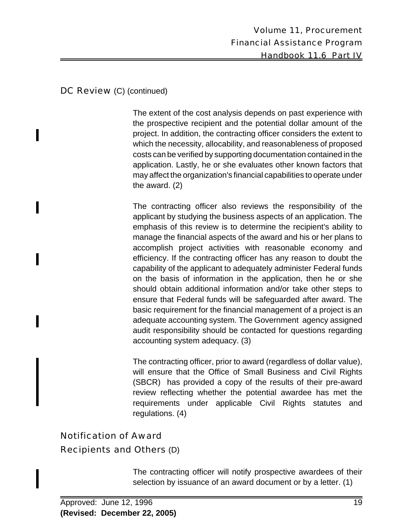#### DC Review (C) (continued)

I

The extent of the cost analysis depends on past experience with the prospective recipient and the potential dollar amount of the project. In addition, the contracting officer considers the extent to which the necessity, allocability, and reasonableness of proposed costs can be verified by supporting documentation contained in the application. Lastly, he or she evaluates other known factors that may affect the organization's financial capabilities to operate under the award. (2)

The contracting officer also reviews the responsibility of the applicant by studying the business aspects of an application. The emphasis of this review is to determine the recipient's ability to manage the financial aspects of the award and his or her plans to accomplish project activities with reasonable economy and efficiency. If the contracting officer has any reason to doubt the capability of the applicant to adequately administer Federal funds on the basis of information in the application, then he or she should obtain additional information and/or take other steps to ensure that Federal funds will be safeguarded after award. The basic requirement for the financial management of a project is an adequate accounting system. The Government agency assigned audit responsibility should be contacted for questions regarding accounting system adequacy. (3)

The contracting officer, prior to award (regardless of dollar value), will ensure that the Office of Small Business and Civil Rights (SBCR) has provided a copy of the results of their pre-award review reflecting whether the potential awardee has met the requirements under applicable Civil Rights statutes and regulations. (4)

## Notification of Award Recipients and Others (D)

The contracting officer will notify prospective awardees of their selection by issuance of an award document or by a letter. (1)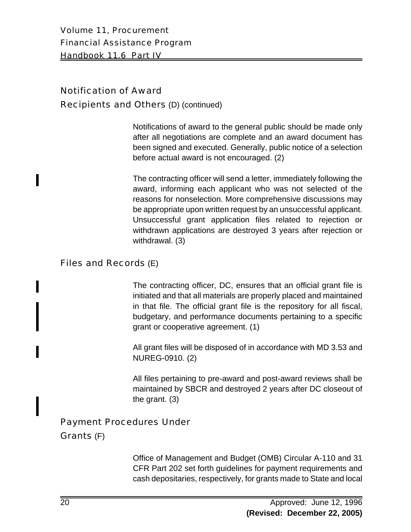Volume 11, Procurement Financial Assistance Program Handbook 11.6 Part IV

## Notification of Award Recipients and Others (D) (continued)

Notifications of award to the general public should be made only after all negotiations are complete and an award document has been signed and executed. Generally, public notice of a selection before actual award is not encouraged. (2)

The contracting officer will send a letter, immediately following the award, informing each applicant who was not selected of the reasons for nonselection. More comprehensive discussions may be appropriate upon written request by an unsuccessful applicant. Unsuccessful grant application files related to rejection or withdrawn applications are destroyed 3 years after rejection or withdrawal. (3)

#### Files and Records (E)

The contracting officer, DC, ensures that an official grant file is initiated and that all materials are properly placed and maintained in that file. The official grant file is the repository for all fiscal, budgetary, and performance documents pertaining to a specific grant or cooperative agreement. (1)

All grant files will be disposed of in accordance with MD 3.53 and NUREG-0910. (2)

All files pertaining to pre-award and post-award reviews shall be maintained by SBCR and destroyed 2 years after DC closeout of the grant. (3)

#### Payment Procedures Under

#### Grants (F)

Office of Management and Budget (OMB) Circular A-110 and 31 CFR Part 202 set forth guidelines for payment requirements and cash depositaries, respectively, for grants made to State and local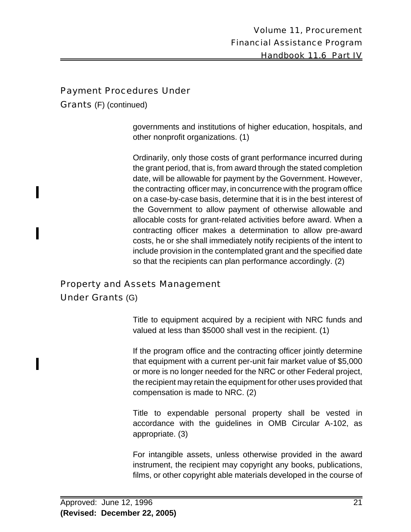#### Payment Procedures Under

Grants (F) (continued)

governments and institutions of higher education, hospitals, and other nonprofit organizations. (1)

Ordinarily, only those costs of grant performance incurred during the grant period, that is, from award through the stated completion date, will be allowable for payment by the Government. However, the contracting officer may, in concurrence with the program office on a case-by-case basis, determine that it is in the best interest of the Government to allow payment of otherwise allowable and allocable costs for grant-related activities before award. When a contracting officer makes a determination to allow pre-award costs, he or she shall immediately notify recipients of the intent to include provision in the contemplated grant and the specified date so that the recipients can plan performance accordingly. (2)

# Property and Assets Management

#### Under Grants (G)

Title to equipment acquired by a recipient with NRC funds and valued at less than \$5000 shall vest in the recipient. (1)

If the program office and the contracting officer jointly determine that equipment with a current per-unit fair market value of \$5,000 or more is no longer needed for the NRC or other Federal project, the recipient may retain the equipment for other uses provided that compensation is made to NRC. (2)

Title to expendable personal property shall be vested in accordance with the guidelines in OMB Circular A-102, as appropriate. (3)

For intangible assets, unless otherwise provided in the award instrument, the recipient may copyright any books, publications, films, or other copyright able materials developed in the course of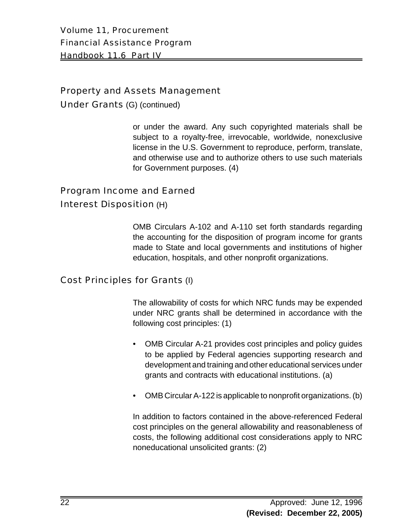Volume 11, Procurement Financial Assistance Program Handbook 11.6 Part IV

#### Property and Assets Management

Under Grants (G) (continued)

or under the award. Any such copyrighted materials shall be subject to a royalty-free, irrevocable, worldwide, nonexclusive license in the U.S. Government to reproduce, perform, translate, and otherwise use and to authorize others to use such materials for Government purposes. (4)

## Program Income and Earned Interest Disposition (H)

OMB Circulars A-102 and A-110 set forth standards regarding the accounting for the disposition of program income for grants made to State and local governments and institutions of higher education, hospitals, and other nonprofit organizations.

#### Cost Principles for Grants (I)

The allowability of costs for which NRC funds may be expended under NRC grants shall be determined in accordance with the following cost principles: (1)

- OMB Circular A-21 provides cost principles and policy guides to be applied by Federal agencies supporting research and development and training and other educational services under grants and contracts with educational institutions. (a)
- OMB Circular A-122 is applicable to nonprofit organizations. (b)

In addition to factors contained in the above-referenced Federal cost principles on the general allowability and reasonableness of costs, the following additional cost considerations apply to NRC noneducational unsolicited grants: (2)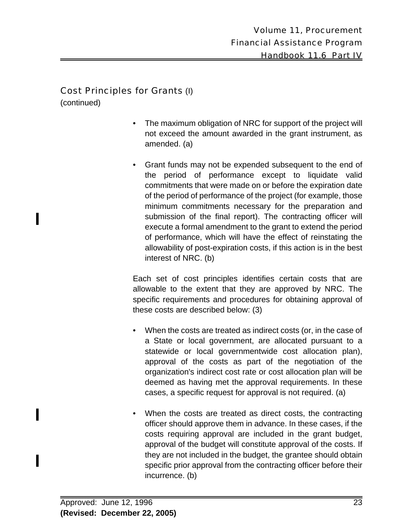#### Cost Principles for Grants (I)

(continued)

- The maximum obligation of NRC for support of the project will not exceed the amount awarded in the grant instrument, as amended. (a)
- Grant funds may not be expended subsequent to the end of the period of performance except to liquidate valid commitments that were made on or before the expiration date of the period of performance of the project (for example, those minimum commitments necessary for the preparation and submission of the final report). The contracting officer will execute a formal amendment to the grant to extend the period of performance, which will have the effect of reinstating the allowability of post-expiration costs, if this action is in the best interest of NRC. (b)

Each set of cost principles identifies certain costs that are allowable to the extent that they are approved by NRC. The specific requirements and procedures for obtaining approval of these costs are described below: (3)

- When the costs are treated as indirect costs (or, in the case of a State or local government, are allocated pursuant to a statewide or local governmentwide cost allocation plan), approval of the costs as part of the negotiation of the organization's indirect cost rate or cost allocation plan will be deemed as having met the approval requirements. In these cases, a specific request for approval is not required. (a)
- When the costs are treated as direct costs, the contracting officer should approve them in advance. In these cases, if the costs requiring approval are included in the grant budget, approval of the budget will constitute approval of the costs. If they are not included in the budget, the grantee should obtain specific prior approval from the contracting officer before their incurrence. (b)